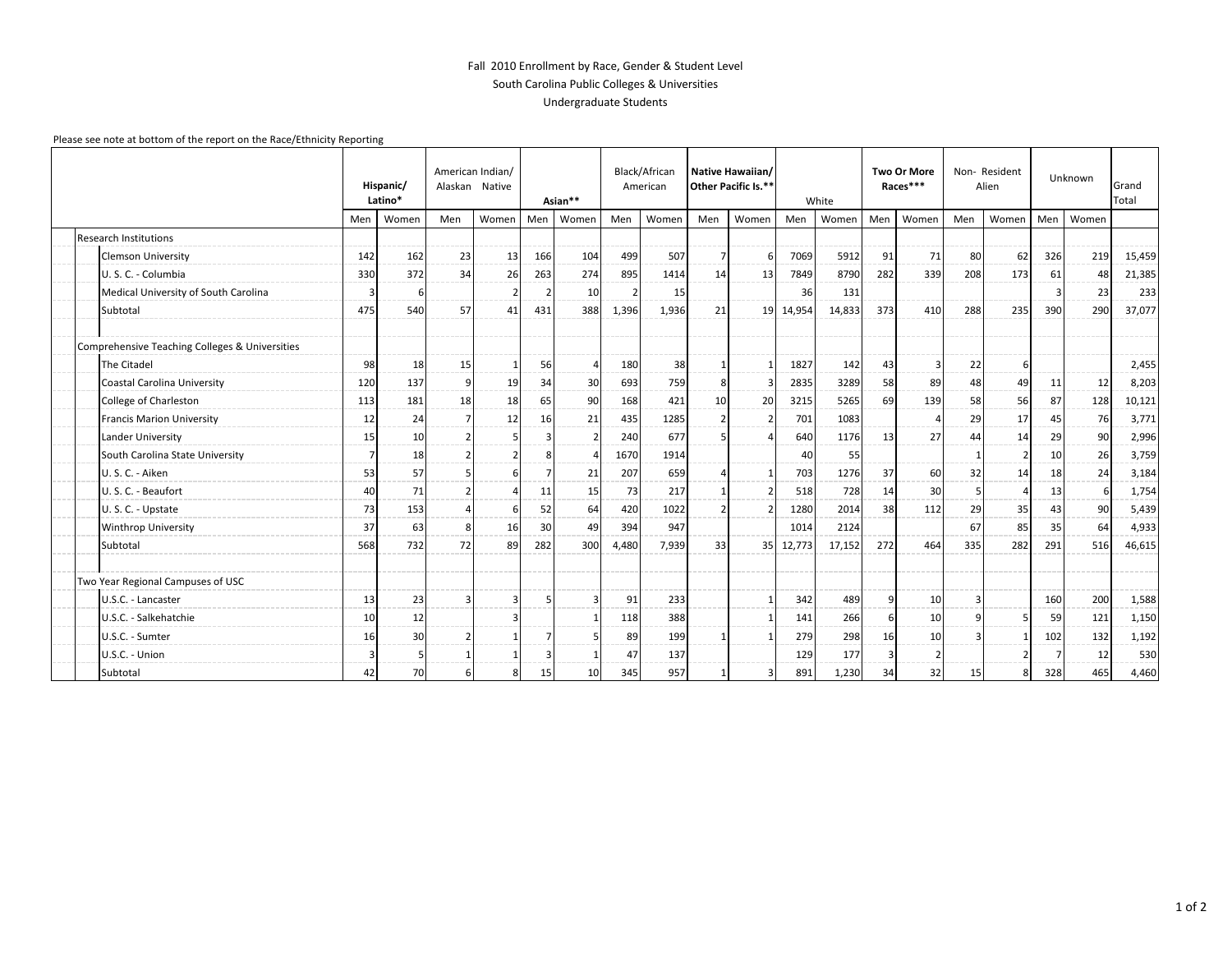## Fall 2010 Enrollment by Race, Gender & Student Level South Carolina Public Colleges & Universities Undergraduate Students

## Please see note at bottom of the report on the Race/Ethnicity Reporting

|                                                | American Indian/<br>Hispanic/<br>Alaskan Native<br>Latino* |       | Asian**        |               | Black/African<br>American |                | Native Hawaiian/<br>Other Pacific Is.** |       | White |       | <b>Two Or More</b><br>Races*** |        | Non-Resident<br>Alien |       | Unknown        |                | Grand<br>Total |       |        |
|------------------------------------------------|------------------------------------------------------------|-------|----------------|---------------|---------------------------|----------------|-----------------------------------------|-------|-------|-------|--------------------------------|--------|-----------------------|-------|----------------|----------------|----------------|-------|--------|
|                                                | Men                                                        | Women | Men            | Women         | Men                       | Women          | Men                                     | Women | Men   | Women | Men                            | Women  | Men                   | Women | Men            | Women          | Men            | Women |        |
| <b>Research Institutions</b>                   |                                                            |       |                |               |                           |                |                                         |       |       |       |                                |        |                       |       |                |                |                |       |        |
| <b>Clemson University</b>                      | 142                                                        | 162   | 23             | 13            | 166                       | 104            | 499                                     | 507   | 7     | 6     | 7069                           | 5912   | 91                    | 71    | 80             | 62             | 326            | 219   | 15,459 |
| U. S. C. - Columbia                            | 330                                                        | 372   | 34             | 26            | 263                       | 274            | 895                                     | 1414  | 14    | 13    | 7849                           | 8790   | 282                   | 339   | 208            | 173            | 61             | 48    | 21,385 |
| Medical University of South Carolina           | 3                                                          | 6     |                |               | 2                         | 10             |                                         | 15    |       |       | 36                             | 131    |                       |       |                |                | 3              | 23    | 233    |
| Subtotal                                       | 475                                                        | 540   | 57             | 41            | 431                       | 388            | 1,396                                   | 1,936 | 21    | 19    | 14,954                         | 14,833 | 373                   | 410   | 288            | 235            | 390            | 290   | 37,077 |
| Comprehensive Teaching Colleges & Universities |                                                            |       |                |               |                           |                |                                         |       |       |       |                                |        |                       |       |                |                |                |       |        |
| The Citadel                                    | 98                                                         | 18    | 15             |               | 56                        | $\overline{4}$ | 180                                     | 38    |       |       | 1827                           | 142    | 43                    |       | 22             | -6             |                |       | 2,455  |
| Coastal Carolina University                    | 120                                                        | 137   | 9              | 19            | 34                        | 30             | 693                                     | 759   | 8     |       | 2835                           | 3289   | 58                    | 89    | 48             | 49             | 11             | 12    | 8,203  |
| College of Charleston                          | 113                                                        | 181   | 18             | 18            | 65                        | 90             | 168                                     | 421   | 10    | 20    | 3215                           | 5265   | 69                    | 139   | 58             | 56             | 87             | 128   | 10,121 |
| <b>Francis Marion University</b>               | 12                                                         | 24    | $\overline{7}$ | 12            | 16                        | 21             | 435                                     | 1285  |       |       | 701                            | 1083   |                       |       | 29             | 17             | 45             | 76    | 3,771  |
| Lander University                              | 15                                                         | 10    |                |               | 3                         | $\overline{2}$ | 240                                     | 677   |       |       | 640                            | 1176   | 13                    | 27    | 44             | 14             | 29             | 90    | 2,996  |
| South Carolina State University                | 7                                                          | 18    | $\overline{2}$ | $\mathcal{D}$ | 8                         | $\prime$       | 1670                                    | 1914  |       |       | 40                             | 55     |                       |       |                | $\overline{2}$ | 10             | 26    | 3,759  |
| U.S.C. - Aiken                                 | 53                                                         | 57    | 5              |               | $\overline{7}$            | 21             | 207                                     | 659   |       |       | 703                            | 1276   | 37                    | 60    | 32             | 14             | 18             | 24    | 3,184  |
| U.S.C. - Beaufort                              | 40                                                         | 71    | $\overline{2}$ |               | 11                        | 15             | 73                                      | 217   |       |       | 518                            | 728    | 14                    | 30    | $\mathbf{5}$   | $\Delta$       | 13             |       | 1,754  |
| U.S.C. - Upstate                               | 73                                                         | 153   |                |               | 52                        | 64             | 420                                     | 1022  |       |       | 1280                           | 2014   | 38                    | 112   | 29             | 35             | 43             | 90    | 5,439  |
| <b>Winthrop University</b>                     | 37                                                         | 63    | 8              | 16            | 30                        | 49             | 394                                     | 947   |       |       | 1014                           | 2124   |                       |       | 67             | 85             | 35             | 64    | 4,933  |
| Subtotal                                       | 568                                                        | 732   | 72             | 89            | 282                       | 300            | 4,480                                   | 7,939 | 33    | 35    | 12,773                         | 17,152 | 272                   | 464   | 335            | 282            | 291            | 516   | 46,615 |
| Two Year Regional Campuses of USC              |                                                            |       |                |               |                           |                |                                         |       |       |       |                                |        |                       |       |                |                |                |       |        |
| U.S.C. - Lancaster                             | 13                                                         | 23    | 3              |               | .5                        | $\overline{3}$ | 91                                      | 233   |       |       | 342                            | 489    | q                     | 10    | $\overline{3}$ |                | 160            | 200   | 1,588  |
| U.S.C. - Salkehatchie                          | 10                                                         | 12    |                |               |                           | -1             | 118                                     | 388   |       |       | 141                            | 266    | 6                     | 10    | 9              |                | 59             | 121   | 1,150  |
| U.S.C. - Sumter                                | 16                                                         | 30    | $\overline{2}$ |               |                           | E              | 89                                      | 199   |       |       | 279                            | 298    | 16                    | 10    | 3              |                | 102            | 132   | 1,192  |
| U.S.C. - Union                                 | -3                                                         |       | $\mathbf{1}$   |               | 3                         | $\overline{1}$ | 47                                      | 137   |       |       | 129                            | 177    | В                     |       |                |                |                | 12    | 530    |
| Subtotal                                       | 42                                                         | 70    | 6              | 8             | 15                        | 10             | 345                                     | 957   |       | з     | 891                            | 1,230  | 34                    | 32    | 15             | 8              | 328            | 465   | 4,460  |